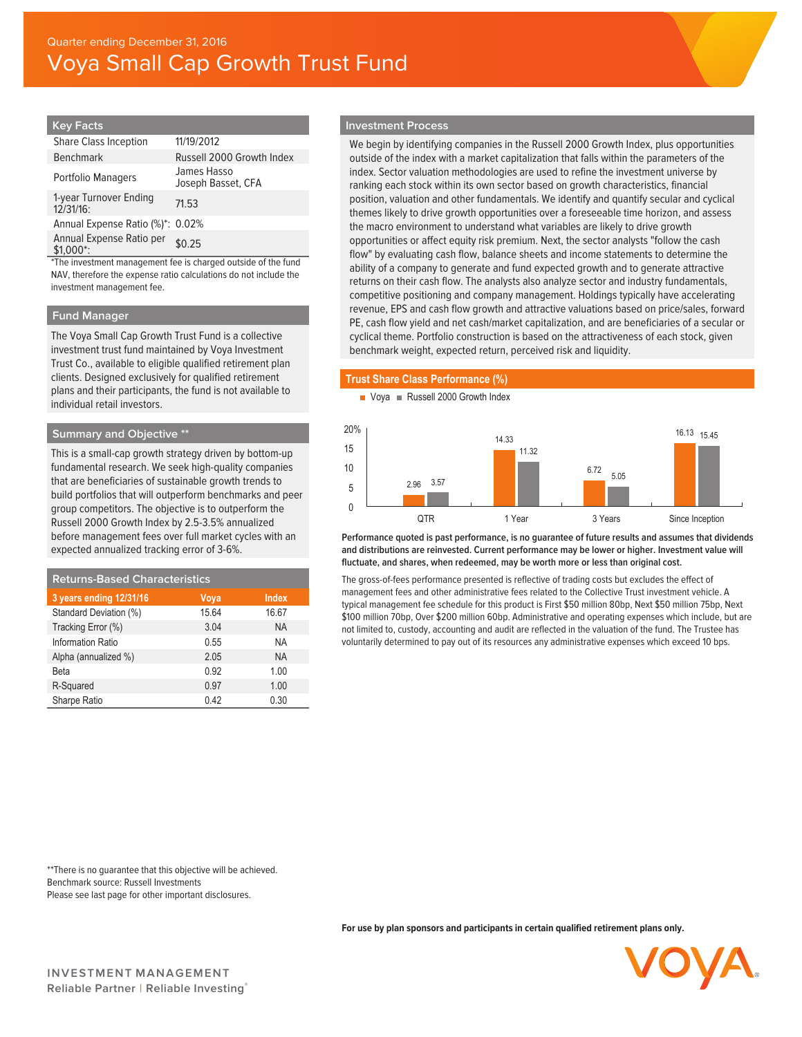## **Key Facts**

| <b>Share Class Inception</b>          | 11/19/2012                        |
|---------------------------------------|-----------------------------------|
| <b>Benchmark</b>                      | Russell 2000 Growth Index         |
| <b>Portfolio Managers</b>             | James Hasso<br>Joseph Basset, CFA |
| 1-year Turnover Ending<br>12/31/16:   | 71.53                             |
| Annual Expense Ratio (%)*: 0.02%      |                                   |
| Annual Expense Ratio per<br>$$1.000*$ | \$0.25                            |

\*The investment management fee is charged outside of the fund NAV, therefore the expense ratio calculations do not include the investment management fee.

## **Fund Manager**

The Voya Small Cap Growth Trust Fund is a collective investment trust fund maintained by Voya Investment Trust Co., available to eligible qualified retirement plan clients. Designed exclusively for qualified retirement plans and their participants, the fund is not available to individual retail investors.

# **Summary and Objective \*\***

This is a small-cap growth strategy driven by bottom-up fundamental research. We seek high-quality companies that are beneficiaries of sustainable growth trends to build portfolios that will outperform benchmarks and peer group competitors. The objective is to outperform the Russell 2000 Growth Index by 2.5-3.5% annualized before management fees over full market cycles with an expected annualized tracking error of 3-6%.

| <b>Returns-Based Characteristics</b> |       |              |  |  |
|--------------------------------------|-------|--------------|--|--|
| 3 years ending 12/31/16              | Voya  | <b>Index</b> |  |  |
| Standard Deviation (%)               | 15.64 | 16.67        |  |  |
| Tracking Error (%)                   | 3.04  | <b>NA</b>    |  |  |
| Information Ratio                    | 0.55  | NA           |  |  |
| Alpha (annualized %)                 | 2.05  | <b>NA</b>    |  |  |
| Beta                                 | 0.92  | 1.00         |  |  |
| R-Squared                            | 0.97  | 1.00         |  |  |
| Sharpe Ratio                         | 0.42  | 0.30         |  |  |

## **Investment Process**

We begin by identifying companies in the Russell 2000 Growth Index, plus opportunities outside of the index with a market capitalization that falls within the parameters of the index. Sector valuation methodologies are used to refine the investment universe by ranking each stock within its own sector based on growth characteristics, financial position, valuation and other fundamentals. We identify and quantify secular and cyclical themes likely to drive growth opportunities over a foreseeable time horizon, and assess the macro environment to understand what variables are likely to drive growth opportunities or affect equity risk premium. Next, the sector analysts "follow the cash flow" by evaluating cash flow, balance sheets and income statements to determine the ability of a company to generate and fund expected growth and to generate attractive returns on their cash flow. The analysts also analyze sector and industry fundamentals, competitive positioning and company management. Holdings typically have accelerating revenue, EPS and cash flow growth and attractive valuations based on price/sales, forward PE, cash flow yield and net cash/market capitalization, and are beneficiaries of a secular or cyclical theme. Portfolio construction is based on the attractiveness of each stock, given benchmark weight, expected return, perceived risk and liquidity.

# **Trust Share Class Performance (%)**





**Performance quoted is past performance, is no guarantee of future results and assumes that dividends and distributions are reinvested. Current performance may be lower or higher. Investment value will fluctuate, and shares, when redeemed, may be worth more or less than original cost.**

The gross-of-fees performance presented is reflective of trading costs but excludes the effect of management fees and other administrative fees related to the Collective Trust investment vehicle. A typical management fee schedule for this product is First \$50 million 80bp, Next \$50 million 75bp, Next \$100 million 70bp, Over \$200 million 60bp. Administrative and operating expenses which include, but are not limited to, custody, accounting and audit are reflected in the valuation of the fund. The Trustee has voluntarily determined to pay out of its resources any administrative expenses which exceed 10 bps.

\*\*There is no guarantee that this objective will be achieved. Benchmark source: Russell Investments Please see last page for other important disclosures.

**For use by plan sponsors and participants in certain qualified retirement plans only.**

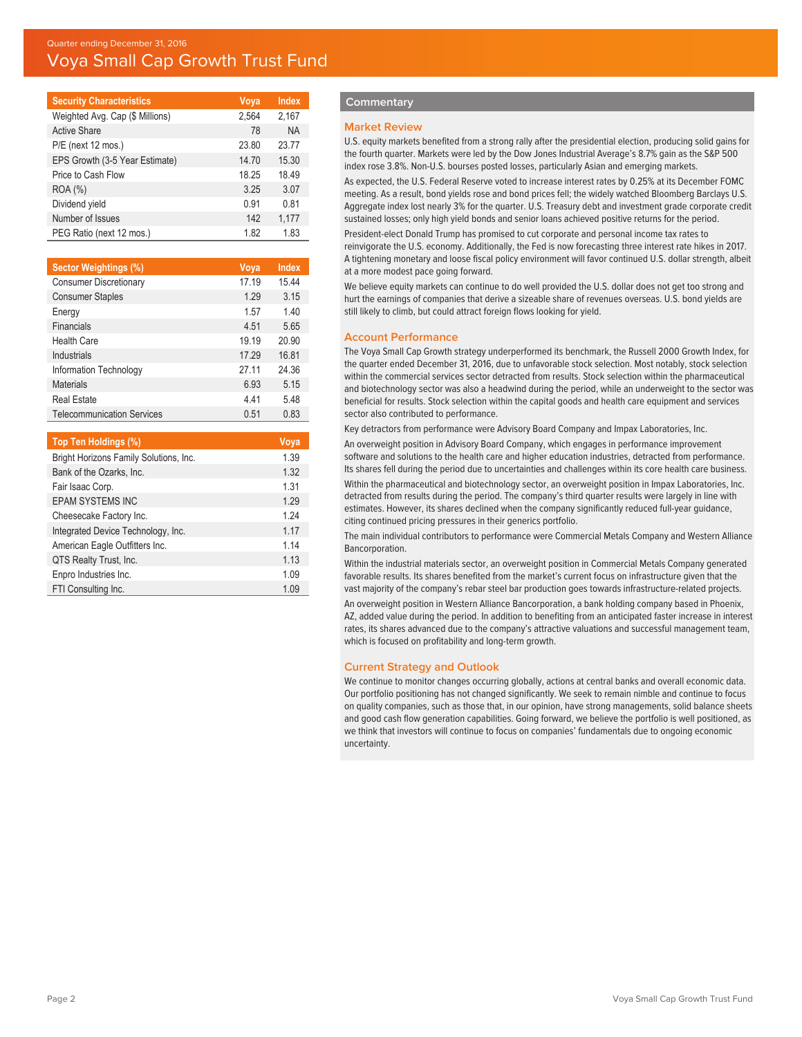# Quarter ending December 31, 2016 Voya Small Cap Growth Trust Fund

| <b>Security Characteristics</b> | Voya  | <b>Index</b> |
|---------------------------------|-------|--------------|
| Weighted Avg. Cap (\$ Millions) | 2,564 | 2,167        |
| <b>Active Share</b>             | 78    | <b>NA</b>    |
| P/E (next 12 mos.)              | 23.80 | 23.77        |
| EPS Growth (3-5 Year Estimate)  | 14.70 | 15.30        |
| Price to Cash Flow              | 18.25 | 18.49        |
| ROA (%)                         | 3.25  | 3.07         |
| Dividend yield                  | 0.91  | 0.81         |
| Number of Issues                | 142   | 1,177        |
| PEG Ratio (next 12 mos.)        | 1.82  | 1.83         |

| Sector Weightings (%)                  | $V$ oya | <b>Index</b> |
|----------------------------------------|---------|--------------|
| <b>Consumer Discretionary</b>          | 17.19   | 15.44        |
| <b>Consumer Staples</b>                | 1.29    | 3.15         |
| Energy                                 | 1.57    | 1.40         |
| Financials                             | 4.51    | 5.65         |
| <b>Health Care</b>                     | 19.19   | 20.90        |
| Industrials                            | 17.29   | 16.81        |
| Information Technology                 | 27.11   | 24.36        |
| <b>Materials</b>                       | 6.93    | 5.15         |
| <b>Real Estate</b>                     | 441     | 5.48         |
| <b>Telecommunication Services</b>      | 0.51    | 0.83         |
|                                        |         |              |
| Top Ten Holdings (%)                   |         | Voya         |
| Bright Horizons Family Solutions, Inc. |         | 1.39         |
| Bank of the Ozarks, Inc.               |         | 1.32         |
| Fair Isaac Corp.                       |         | 1.31         |
| <b>EPAM SYSTEMS INC</b>                |         | 1.29         |
| Cheesecake Factory Inc.                |         | 1.24         |
| Integrated Device Technology, Inc.     |         | 1.17         |

FTI Consulting Inc. 1.09 Enpro Industries Inc. 1.09 QTS Realty Trust, Inc. 1.13 American Eagle Outfitters Inc. 1.14

## **Commentary**

#### **Market Review**

U.S. equity markets benefited from a strong rally after the presidential election, producing solid gains for the fourth quarter. Markets were led by the Dow Jones Industrial Average's 8.7% gain as the S&P 500 index rose 3.8%. Non-U.S. bourses posted losses, particularly Asian and emerging markets.

As expected, the U.S. Federal Reserve voted to increase interest rates by 0.25% at its December FOMC meeting. As a result, bond yields rose and bond prices fell; the widely watched Bloomberg Barclays U.S. Aggregate index lost nearly 3% for the quarter. U.S. Treasury debt and investment grade corporate credit sustained losses; only high yield bonds and senior loans achieved positive returns for the period.

President-elect Donald Trump has promised to cut corporate and personal income tax rates to reinvigorate the U.S. economy. Additionally, the Fed is now forecasting three interest rate hikes in 2017. A tightening monetary and loose fiscal policy environment will favor continued U.S. dollar strength, albeit at a more modest pace going forward.

We believe equity markets can continue to do well provided the U.S. dollar does not get too strong and hurt the earnings of companies that derive a sizeable share of revenues overseas. U.S. bond yields are still likely to climb, but could attract foreign flows looking for yield.

## **Account Performance**

The Voya Small Cap Growth strategy underperformed its benchmark, the Russell 2000 Growth Index, for the quarter ended December 31, 2016, due to unfavorable stock selection. Most notably, stock selection within the commercial services sector detracted from results. Stock selection within the pharmaceutical and biotechnology sector was also a headwind during the period, while an underweight to the sector was beneficial for results. Stock selection within the capital goods and health care equipment and services sector also contributed to performance.

Key detractors from performance were Advisory Board Company and Impax Laboratories, Inc.

An overweight position in Advisory Board Company, which engages in performance improvement software and solutions to the health care and higher education industries, detracted from performance. Its shares fell during the period due to uncertainties and challenges within its core health care business. Within the pharmaceutical and biotechnology sector, an overweight position in Impax Laboratories, Inc. detracted from results during the period. The company's third quarter results were largely in line with estimates. However, its shares declined when the company significantly reduced full-year guidance, citing continued pricing pressures in their generics portfolio.

The main individual contributors to performance were Commercial Metals Company and Western Alliance Bancorporation.

Within the industrial materials sector, an overweight position in Commercial Metals Company generated favorable results. Its shares benefited from the market's current focus on infrastructure given that the vast majority of the company's rebar steel bar production goes towards infrastructure-related projects. An overweight position in Western Alliance Bancorporation, a bank holding company based in Phoenix, AZ, added value during the period. In addition to benefiting from an anticipated faster increase in interest rates, its shares advanced due to the company's attractive valuations and successful management team, which is focused on profitability and long-term growth.

## **Current Strategy and Outlook**

We continue to monitor changes occurring globally, actions at central banks and overall economic data. Our portfolio positioning has not changed significantly. We seek to remain nimble and continue to focus on quality companies, such as those that, in our opinion, have strong managements, solid balance sheets and good cash flow generation capabilities. Going forward, we believe the portfolio is well positioned, as we think that investors will continue to focus on companies' fundamentals due to ongoing economic uncertainty.